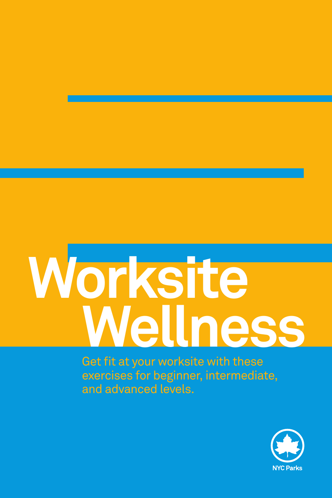# **Worksite Wellness**

Get fit at your worksite with these exercises for beginner, intermediate, and advanced levels.

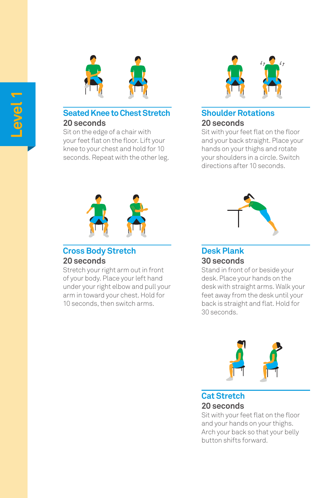

#### **Seated Knee to Chest Stretch 20 seconds**

**Level 1**

Sit on the edge of a chair with your feet flat on the floor. Lift your knee to your chest and hold for 10 seconds. Repeat with the other leg.



#### **Shoulder Rotations 20 seconds**

Sit with your feet flat on the floor and your back straight. Place your hands on your thighs and rotate your shoulders in a circle. Switch directions after 10 seconds.



#### **Cross Body Stretch 20 seconds**

Stretch your right arm out in front of your body. Place your left hand under your right elbow and pull your arm in toward your chest. Hold for 10 seconds, then switch arms.



# **Desk Plank**

## **30 seconds**

Stand in front of or beside your desk. Place your hands on the desk with straight arms. Walk your feet away from the desk until your back is straight and flat. Hold for 30 seconds.



#### **Cat Stretch 20 seconds**

Sit with your feet flat on the floor and your hands on your thighs. Arch your back so that your belly button shifts forward.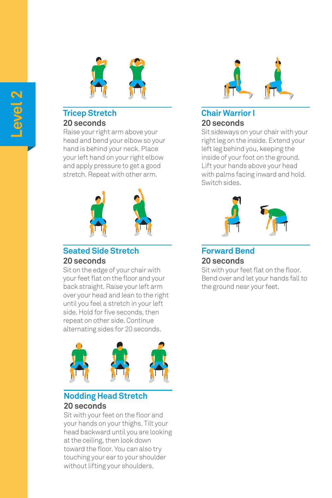

#### **Tricep Stretch 20 seconds**

Raise your right arm above your head and bend your elbow so your hand is behind your neck. Place your left hand on your right elbow and apply pressure to get a good stretch. Repeat with other arm.



#### **Seated Side Stretch 20 seconds**

Sit on the edge of your chair with your feet flat on the floor and your back straight. Raise your left arm over your head and lean to the right until you feel a stretch in your left side. Hold for five seconds, then repeat on other side. Continue alternating sides for 20 seconds.



### **Nodding Head Stretch 20 seconds**

Sit with your feet on the floor and your hands on your thighs. Tilt your head backward until you are looking at the ceiling, then look down toward the floor. You can also try touching your ear to your shoulder without lifting your shoulders.



#### **Chair Warrior I 20 seconds**

Sit sideways on your chair with your right leg on the inside. Extend your left leg behind you, keeping the inside of your foot on the ground. Lift your hands above your head with palms facing inward and hold. Switch sides.



# **Forward Bend 20 seconds**

Sit with your feet flat on the floor. Bend over and let your hands fall to the ground near your feet.